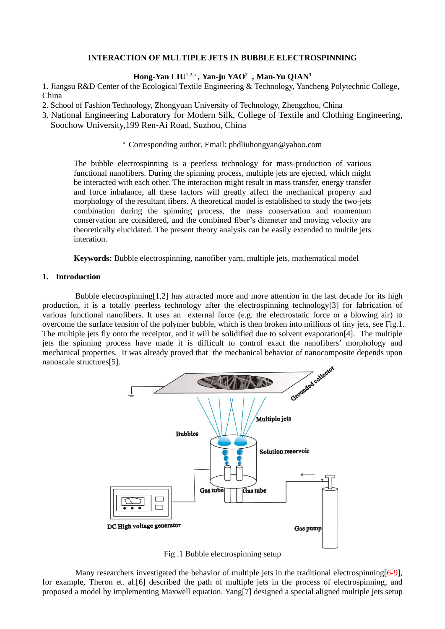# **INTERACTION OF MULTIPLE JETS IN BUBBLE ELECTROSPINNING**

### **Hong-Yan LIU**1,2,a *,* **Yan-ju YAO<sup>2</sup>** *,* **Man-Yu QIAN<sup>3</sup>**

1. Jiangsu R&D Center of the Ecological Textile Engineering & Technology, Yancheng Polytechnic College, China

- 2. School of Fashion Technology, Zhongyuan University of Technology, Zhengzhou, China
- 3. National Engineering Laboratory for Modern Silk, College of Textile and Clothing Engineering, Soochow University,199 Ren-Ai Road, Suzhou, China

### a. Corresponding author. Email: phdliuhongyan@yahoo.com

The bubble electrospinning is a peerless technology for mass-production of various functional nanofibers. During the spinning process, multiple jets are ejected, which might be interacted with each other. The interaction might result in mass transfer, energy transfer and force inbalance, all these factors will greatly affect the mechanical property and morphology of the resultant fibers. A theoretical model is established to study the two-jets combination during the spinning process, the mass conservation and momentum conservation are considered, and the combined fiber's diameter and moving velocity are theoretically elucidated. The present theory analysis can be easily extended to multile jets interation.

**Keywords:** Bubble electrospinning, nanofiber yarn, multiple jets, mathematical model

## **1. Introduction**

Bubble electrospinning $[1,2]$  has attracted more and more attention in the last decade for its high production, it is a totally peerless technology after the electrospinning technology[3] for fabrication of various functional nanofibers. It uses an external force (e.g. the electrostatic force or a blowing air) to overcome the surface tension of the polymer bubble, which is then broken into millions of tiny jets, see Fig.1. The multiple jets fly onto the receiptor, and it will be solidified due to solvent evaporation[4]. The multiple jets the spinning process have made it is difficult to control exact the nanofibers' morphology and nanoscale structures[5].



Fig .1 Bubble electrospinning setup

Many researchers investigated the behavior of multiple jets in the traditional electrospinning  $[6-9]$ , for example, Theron et. al.[6] described the path of multiple jets in the process of electrospinning, and proposed a model by implementing Maxwell equation. Yang[7] designed a special aligned multiple jets setup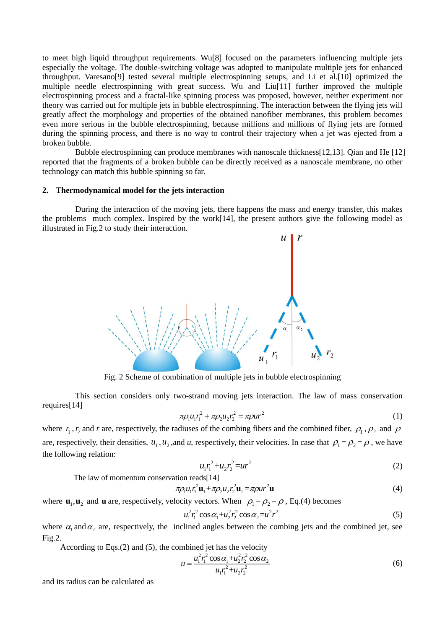to meet high liquid throughput requirements. Wu[8] focused on the parameters influencing multiple jets especially the voltage. The double-switching voltage was adopted to manipulate multiple jets for enhanced throughput. Varesano[9] tested several multiple electrospinning setups, and Li et al.[10] optimized the multiple needle electrospinning with great success. Wu and Liu[11] further improved the multiple electrospinning process and a fractal-like spinning process was proposed, however, neither experiment nor theory was carried out for multiple jets in bubble electrospinning. The interaction between the flying jets will greatly affect the morphology and properties of the obtained nanofiber membranes, this problem becomes even more serious in the bubble electrospinning, because millions and millions of flying jets are formed during the spinning process, and there is no way to control their trajectory when a jet was ejected from a broken bubble.

Bubble electrospinning can produce membranes with nanoscale thickness[12,13]. Qian and He [12] reported that the fragments of a broken bubble can be directly received as a nanoscale membrane, no other technology can match this bubble spinning so far.

#### **2. Thermodynamical model for the jets interaction**

During the interaction of the moving jets, there happens the mass and energy transfer, this makes the problems much complex. Inspired by the work[14], the present authors give the following model as illustrated in Fig.2 to study their interaction.



Fig. 2 Scheme of combination of multiple jets in bubble electrospinning

This section considers only two-strand moving jets interaction. The law of mass conservation requires[14]

$$
\pi \rho_1 u_1 r_1^2 + \pi \rho_2 u_2 r_2^2 = \pi \rho u r^2 \tag{1}
$$

where  $r_1$ ,  $r_2$  and *r* are, respectively, the radiuses of the combing fibers and the combined fiber,  $\rho_1$ ,  $\rho_2$  and  $\rho$ are, respectively, their densities,  $u_1, u_2$ , and *u*, respectively, their velocities. In case that  $\rho_1 = \rho_2 = \rho$ , we have the following relation:

$$
u_1 r_1^2 + u_2 r_2^2 = u r^2 \tag{2}
$$

The law of momentum conservation reads[14]

$$
\pi \rho_1 u_1 r_1^2 \mathbf{u}_1 + \pi \rho_2 u_2 r_2^2 \mathbf{u}_2 = \pi \rho u r^2 \mathbf{u}
$$
\n<sup>(4)</sup>

where  $\mathbf{u}_1, \mathbf{u}_2$  and  $\mathbf{u}$  are, respectively, velocity vectors. When  $\rho_1 = \rho_2 = \rho$ , Eq.(4) becomes

$$
u_1^2 r_1^2 \cos \alpha_1 + u_2^2 r_2^2 \cos \alpha_2 = u^2 r^2 \tag{5}
$$

where  $\alpha_1$  and  $\alpha_2$  are, respectively, the inclined angles between the combing jets and the combined jet, see Fig.2.

According to Eqs.(2) and (5), the combined jet has the velocity

$$
u = \frac{u_1^2 r_1^2 \cos \alpha_1 + u_2^2 r_2^2 \cos \alpha_2}{u_1 r_1^2 + u_2 r_2^2}
$$
 (6)

and its radius can be calculated as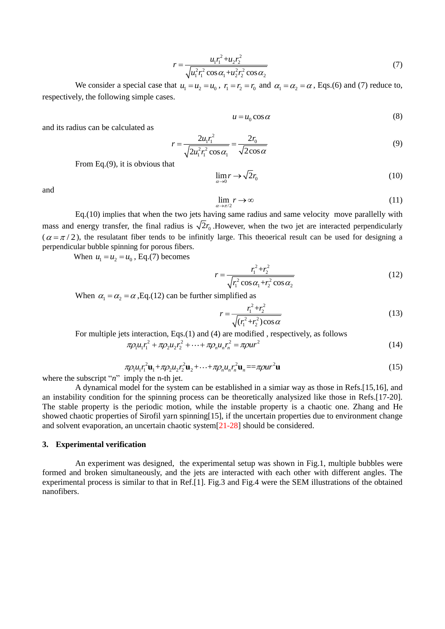$$
r = \frac{u_1 r_1^2 + u_2 r_2^2}{\sqrt{u_1^2 r_1^2 \cos \alpha_1 + u_2^2 r_2^2 \cos \alpha_2}}
$$
(7)

We consider a special case that  $u_1 = u_2 = u_0$ ,  $r_1 = r_2 = r_0$  and  $\alpha_1 = \alpha_2 = \alpha$ , Eqs.(6) and (7) reduce to, respectively, the following simple cases.

$$
u = u_0 \cos \alpha \tag{8}
$$

and its radius can be calculated as

$$
r = \frac{2u_1r_1^2}{\sqrt{2u_1^2r_1^2\cos\alpha_1}} = \frac{2r_0}{\sqrt{2\cos\alpha}}
$$
(9)

From Eq.(9), it is obvious that

$$
\lim_{\alpha \to 0} r \to \sqrt{2}r_0 \tag{10}
$$

and

$$
\lim_{\alpha \to \pi/2} r \to \infty \tag{11}
$$

Eq.(10) implies that when the two jets having same radius and same velocity move parallelly with mass and energy transfer, the final radius is  $\sqrt{2}r_0$ . However, when the two jet are interacted perpendicularly  $(\alpha = \pi/2)$ , the resulatant fiber tends to be infinitly large. This theoerical result can be used for designing a perpendicular bubble spinning for porous fibers.

When  $u_1 = u_2 = u_0$ , Eq.(7) becomes

$$
r = \frac{r_1^2 + r_2^2}{\sqrt{r_1^2 \cos \alpha_1 + r_2^2 \cos \alpha_2}}\tag{12}
$$

When  $\alpha_1 = \alpha_2 = \alpha$ , Eq.(12) can be further simplified as

$$
r = \frac{r_1^2 + r_2^2}{\sqrt{(r_1^2 + r_2^2)\cos\alpha}}\tag{13}
$$

For multiple jets interaction, Eqs.(1) and (4) are modified, respectively, as follows  $\pi \rho_1 u_1 r_1^2 + \pi \rho_2 u_2 r_2^2 + \cdots + \pi \rho_n u_n r_n^2 = \pi \rho u r^2$ 

$$
\pi \rho_1 u_1 r_1^2 + \pi \rho_2 u_2 r_2^2 + \dots + \pi \rho_n u_n r_n^2 = \pi \rho u r^2 \tag{14}
$$

$$
\pi \rho_1 u_1 r_1^2 \mathbf{u}_1 + \pi \rho_2 u_2 r_2^2 \mathbf{u}_2 + \dots + \pi \rho_n u_n r_n^2 \mathbf{u}_n = \pi \rho u r^2 \mathbf{u}
$$
\n(15)

where the subscript "*n*" imply the n-th jet.

A dynamical model for the system can be established in a simiar way as those in Refs.[15,16], and an instability condition for the spinning process can be theoretically analysized like those in Refs.[17-20]. The stable property is the periodic motion, while the instable property is a chaotic one. Zhang and He showed chaotic properties of Sirofil yarn spinning[15], if the uncertain properties due to environment change and solvent evaporation, an uncertain chaotic system[21-28] should be considered.

#### **3. Experimental verification**

An experiment was designed, the experimental setup was shown in Fig.1, multiple bubbles were formed and broken simultaneously, and the jets are interacted with each other with different angles. The experimental process is similar to that in Ref.[1]. Fig.3 and Fig.4 were the SEM illustrations of the obtained nanofibers.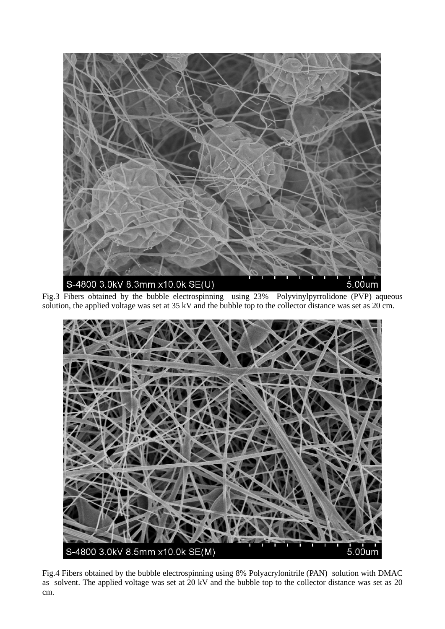

Fig.3 Fibers obtained by the bubble electrospinning using 23% Polyvinylpyrrolidone (PVP) aqueous solution, the applied voltage was set at 35 kV and the bubble top to the collector distance was set as 20 cm.



Fig.4 Fibers obtained by the bubble electrospinning using 8% Polyacrylonitrile (PAN) solution with DMAC as solvent. The applied voltage was set at 20 kV and the bubble top to the collector distance was set as 20 cm.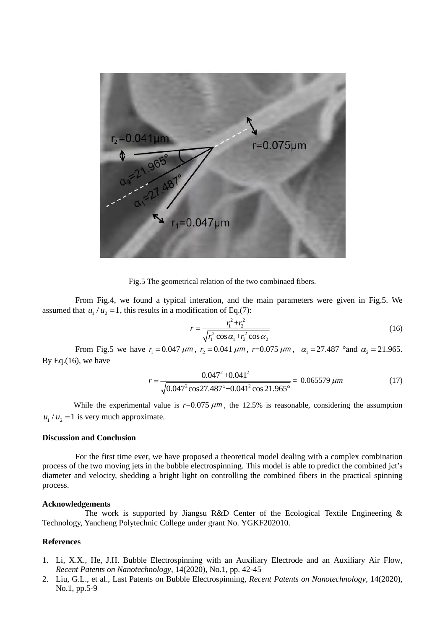

Fig.5 The geometrical relation of the two combinaed fibers.

From Fig.4, we found a typical interation, and the main parameters were given in Fig.5. We assumed that  $u_1/u_2 = 1$ , this results in a modification of Eq.(7):

$$
r = \frac{r_1^2 + r_2^2}{\sqrt{r_1^2 \cos \alpha_1 + r_2^2 \cos \alpha_2}}
$$
(16)

From Fig.5 we have  $r_1 = 0.047 \ \mu m$ ,  $r_2 = 0.041 \ \mu m$ ,  $r = 0.075 \ \mu m$ ,  $\alpha_1 = 27.487$  °and  $\alpha_2 = 21.965$ . By Eq.(16), we have

$$
r = \frac{0.047^2 + 0.041^2}{\sqrt{0.047^2 \cos 27.487^\circ + 0.041^2 \cos 21.965^\circ}} = 0.065579 \,\mu m \tag{17}
$$

While the experimental value is  $r=0.075 \ \mu m$ , the 12.5% is reasonable, considering the assumption  $u_1 / u_2 = 1$  is very much approximate.

### **Discussion and Conclusion**

For the first time ever, we have proposed a theoretical model dealing with a complex combination process of the two moving jets in the bubble electrospinning. This model is able to predict the combined jet's diameter and velocity, shedding a bright light on controlling the combined fibers in the practical spinning process.

## **Acknowledgements**

The work is supported by Jiangsu R&D Center of the Ecological Textile Engineering  $\&$ Technology, Yancheng Polytechnic College under grant No. YGKF202010.

# **References**

- 1. Li, X.X., He, J.H. Bubble Electrospinning with an Auxiliary Electrode and an Auxiliary Air Flow, *Recent Patents on Nanotechnology*, 14(2020), No.1, pp. 42-45
- 2. Liu, G.L., et al., Last Patents on Bubble Electrospinning, *Recent Patents on Nanotechnology*, 14(2020), No.1, pp.5-9